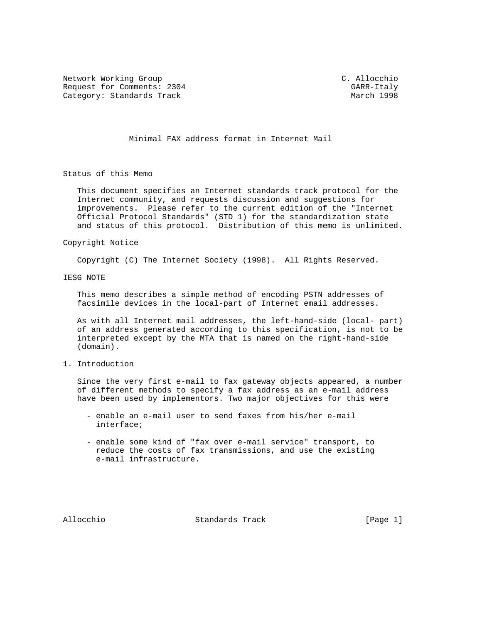Network Working Group C. Allocchio Request for Comments: 2304 GARR-Italy Category: Standards Track

Minimal FAX address format in Internet Mail

Status of this Memo

 This document specifies an Internet standards track protocol for the Internet community, and requests discussion and suggestions for improvements. Please refer to the current edition of the "Internet Official Protocol Standards" (STD 1) for the standardization state and status of this protocol. Distribution of this memo is unlimited.

## Copyright Notice

Copyright (C) The Internet Society (1998). All Rights Reserved.

IESG NOTE

 This memo describes a simple method of encoding PSTN addresses of facsimile devices in the local-part of Internet email addresses.

 As with all Internet mail addresses, the left-hand-side (local- part) of an address generated according to this specification, is not to be interpreted except by the MTA that is named on the right-hand-side (domain).

1. Introduction

 Since the very first e-mail to fax gateway objects appeared, a number of different methods to specify a fax address as an e-mail address have been used by implementors. Two major objectives for this were

- enable an e-mail user to send faxes from his/her e-mail interface;
- enable some kind of "fax over e-mail service" transport, to reduce the costs of fax transmissions, and use the existing e-mail infrastructure.

Allocchio Standards Track [Page 1]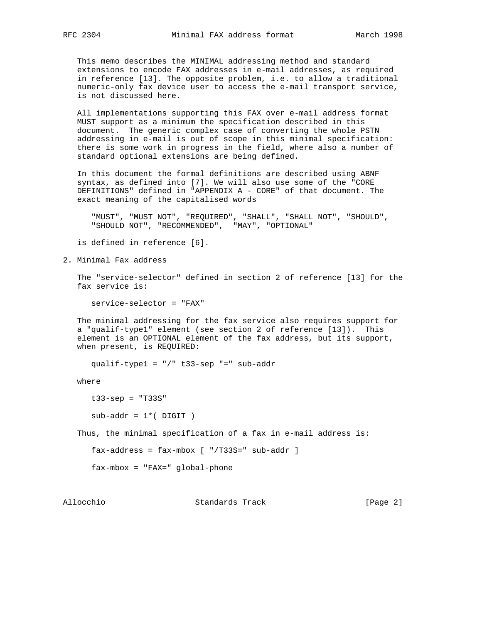This memo describes the MINIMAL addressing method and standard extensions to encode FAX addresses in e-mail addresses, as required in reference [13]. The opposite problem, i.e. to allow a traditional numeric-only fax device user to access the e-mail transport service, is not discussed here.

 All implementations supporting this FAX over e-mail address format MUST support as a minimum the specification described in this document. The generic complex case of converting the whole PSTN addressing in e-mail is out of scope in this minimal specification: there is some work in progress in the field, where also a number of standard optional extensions are being defined.

 In this document the formal definitions are described using ABNF syntax, as defined into [7]. We will also use some of the "CORE DEFINITIONS" defined in "APPENDIX A - CORE" of that document. The exact meaning of the capitalised words

 "MUST", "MUST NOT", "REQUIRED", "SHALL", "SHALL NOT", "SHOULD", "SHOULD NOT", "RECOMMENDED", "MAY", "OPTIONAL"

is defined in reference [6].

2. Minimal Fax address

 The "service-selector" defined in section 2 of reference [13] for the fax service is:

service-selector = "FAX"

 The minimal addressing for the fax service also requires support for a "qualif-type1" element (see section 2 of reference [13]). This element is an OPTIONAL element of the fax address, but its support, when present, is REQUIRED:

qualif-type1 = "/" t33-sep "=" sub-addr

where

t33-sep = "T33S"

 $sub-addr = 1*(-DIGIT)$ 

Thus, the minimal specification of a fax in e-mail address is:

fax-address = fax-mbox [ "/T33S=" sub-addr ]

fax-mbox = "FAX=" global-phone

Allocchio Standards Track [Page 2]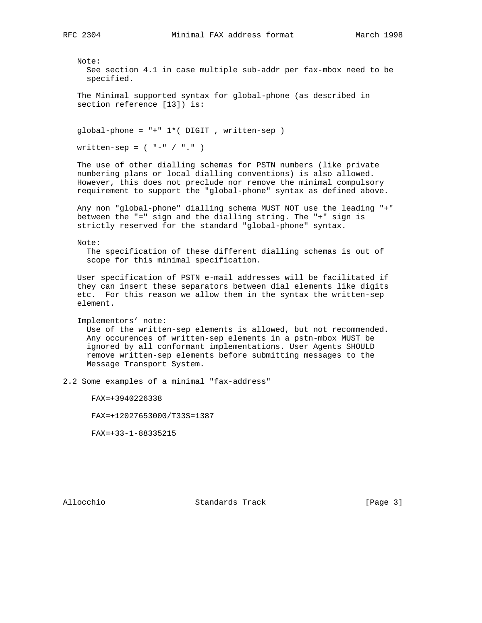Note: See section 4.1 in case multiple sub-addr per fax-mbox need to be specified. The Minimal supported syntax for global-phone (as described in section reference [13]) is: global-phone = "+" 1\*( DIGIT , written-sep )  $written-sep = ( " - " / " . " )$  The use of other dialling schemas for PSTN numbers (like private numbering plans or local dialling conventions) is also allowed. However, this does not preclude nor remove the minimal compulsory requirement to support the "global-phone" syntax as defined above. Any non "global-phone" dialling schema MUST NOT use the leading "+" between the "=" sign and the dialling string. The "+" sign is strictly reserved for the standard "global-phone" syntax. Note: The specification of these different dialling schemas is out of scope for this minimal specification. User specification of PSTN e-mail addresses will be facilitated if they can insert these separators between dial elements like digits etc. For this reason we allow them in the syntax the written-sep element. Implementors' note: Use of the written-sep elements is allowed, but not recommended. Any occurences of written-sep elements in a pstn-mbox MUST be ignored by all conformant implementations. User Agents SHOULD remove written-sep elements before submitting messages to the Message Transport System. 2.2 Some examples of a minimal "fax-address" FAX=+3940226338 FAX=+12027653000/T33S=1387 FAX=+33-1-88335215

Allocchio Standards Track [Page 3]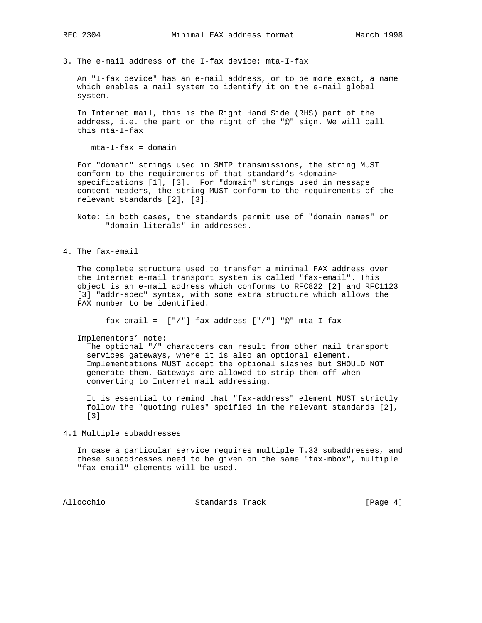3. The e-mail address of the I-fax device: mta-I-fax

 An "I-fax device" has an e-mail address, or to be more exact, a name which enables a mail system to identify it on the e-mail global system.

 In Internet mail, this is the Right Hand Side (RHS) part of the address, i.e. the part on the right of the "@" sign. We will call this mta-I-fax

 $mta-I-fax = domain$ 

 For "domain" strings used in SMTP transmissions, the string MUST conform to the requirements of that standard's <domain> specifications [1], [3]. For "domain" strings used in message content headers, the string MUST conform to the requirements of the relevant standards [2], [3].

 Note: in both cases, the standards permit use of "domain names" or "domain literals" in addresses.

4. The fax-email

 The complete structure used to transfer a minimal FAX address over the Internet e-mail transport system is called "fax-email". This object is an e-mail address which conforms to RFC822 [2] and RFC1123 [3] "addr-spec" syntax, with some extra structure which allows the FAX number to be identified.

fax-email =  $['/"]$  fax-address  $['/"]$  "@" mta-I-fax

Implementors' note:

 The optional "/" characters can result from other mail transport services gateways, where it is also an optional element. Implementations MUST accept the optional slashes but SHOULD NOT generate them. Gateways are allowed to strip them off when converting to Internet mail addressing.

 It is essential to remind that "fax-address" element MUST strictly follow the "quoting rules" spcified in the relevant standards [2], [3]

4.1 Multiple subaddresses

 In case a particular service requires multiple T.33 subaddresses, and these subaddresses need to be given on the same "fax-mbox", multiple "fax-email" elements will be used.

Allocchio Standards Track [Page 4]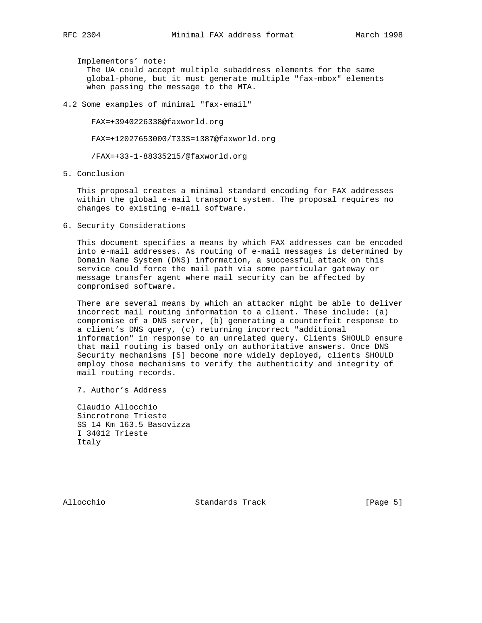Implementors' note: The UA could accept multiple subaddress elements for the same global-phone, but it must generate multiple "fax-mbox" elements when passing the message to the MTA.

4.2 Some examples of minimal "fax-email"

FAX=+3940226338@faxworld.org

FAX=+12027653000/T33S=1387@faxworld.org

/FAX=+33-1-88335215/@faxworld.org

5. Conclusion

 This proposal creates a minimal standard encoding for FAX addresses within the global e-mail transport system. The proposal requires no changes to existing e-mail software.

6. Security Considerations

 This document specifies a means by which FAX addresses can be encoded into e-mail addresses. As routing of e-mail messages is determined by Domain Name System (DNS) information, a successful attack on this service could force the mail path via some particular gateway or message transfer agent where mail security can be affected by compromised software.

 There are several means by which an attacker might be able to deliver incorrect mail routing information to a client. These include: (a) compromise of a DNS server, (b) generating a counterfeit response to a client's DNS query, (c) returning incorrect "additional information" in response to an unrelated query. Clients SHOULD ensure that mail routing is based only on authoritative answers. Once DNS Security mechanisms [5] become more widely deployed, clients SHOULD employ those mechanisms to verify the authenticity and integrity of mail routing records.

7. Author's Address

 Claudio Allocchio Sincrotrone Trieste SS 14 Km 163.5 Basovizza I 34012 Trieste Italy

Allocchio Standards Track [Page 5]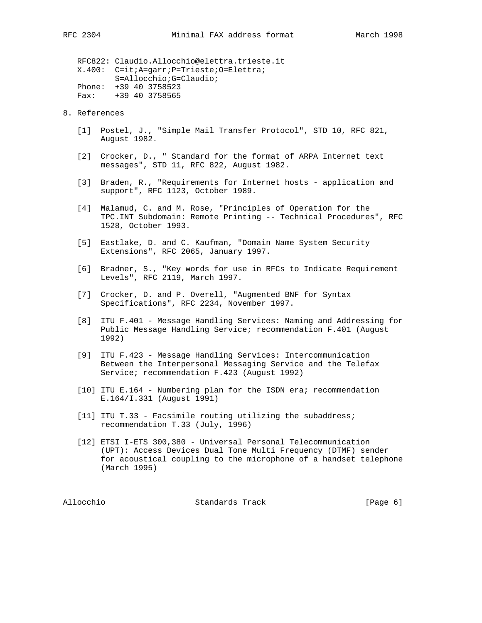RFC822: Claudio.Allocchio@elettra.trieste.it X.400: C=it;A=garr;P=Trieste;O=Elettra; S=Allocchio;G=Claudio; Phone: +39 40 3758523 Fax: +39 40 3758565

- 8. References
	- [1] Postel, J., "Simple Mail Transfer Protocol", STD 10, RFC 821, August 1982.
	- [2] Crocker, D., " Standard for the format of ARPA Internet text messages", STD 11, RFC 822, August 1982.
	- [3] Braden, R., "Requirements for Internet hosts application and support", RFC 1123, October 1989.
	- [4] Malamud, C. and M. Rose, "Principles of Operation for the TPC.INT Subdomain: Remote Printing -- Technical Procedures", RFC 1528, October 1993.
	- [5] Eastlake, D. and C. Kaufman, "Domain Name System Security Extensions", RFC 2065, January 1997.
	- [6] Bradner, S., "Key words for use in RFCs to Indicate Requirement Levels", RFC 2119, March 1997.
	- [7] Crocker, D. and P. Overell, "Augmented BNF for Syntax Specifications", RFC 2234, November 1997.
	- [8] ITU F.401 Message Handling Services: Naming and Addressing for Public Message Handling Service; recommendation F.401 (August 1992)
	- [9] ITU F.423 Message Handling Services: Intercommunication Between the Interpersonal Messaging Service and the Telefax Service; recommendation F.423 (August 1992)
	- [10] ITU E.164 Numbering plan for the ISDN era; recommendation E.164/I.331 (August 1991)
	- [11] ITU T.33 Facsimile routing utilizing the subaddress; recommendation T.33 (July, 1996)
	- [12] ETSI I-ETS 300,380 Universal Personal Telecommunication (UPT): Access Devices Dual Tone Multi Frequency (DTMF) sender for acoustical coupling to the microphone of a handset telephone (March 1995)

Allocchio Standards Track [Page 6]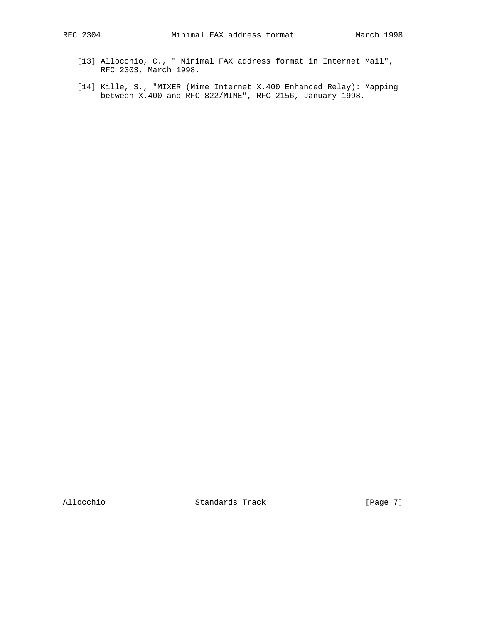- [13] Allocchio, C., " Minimal FAX address format in Internet Mail", RFC 2303, March 1998.
- [14] Kille, S., "MIXER (Mime Internet X.400 Enhanced Relay): Mapping between X.400 and RFC 822/MIME", RFC 2156, January 1998.

Allocchio Standards Track [Page 7]